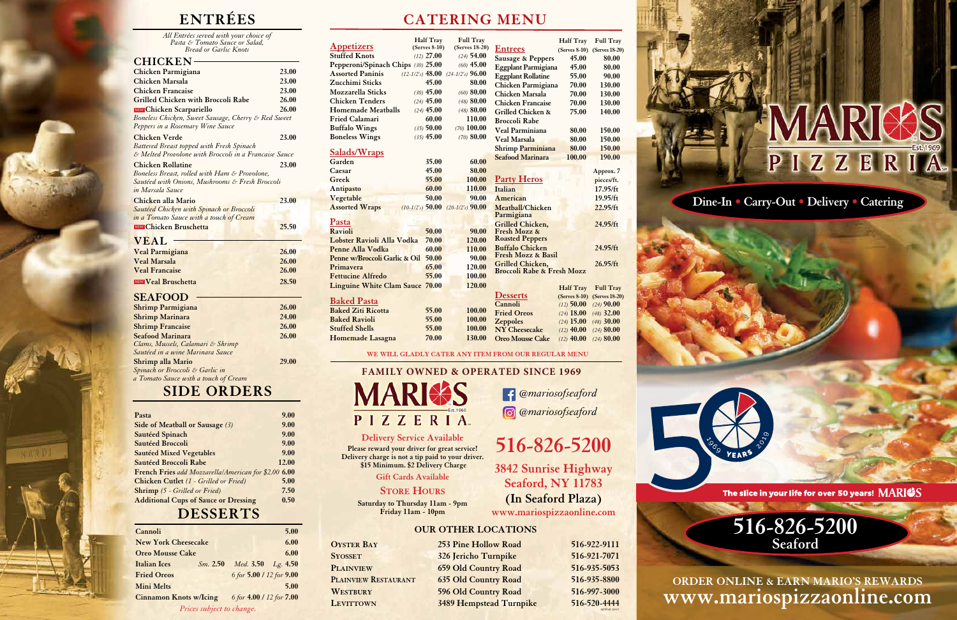**Dine-In • Carry-Out • Delivery • Catering**



The slice in your life for over 50 years! MARIOS

*All Entrées served with your choice of Pasta & Tomato Sauce or Salad, Bread or Garlic Knots*

#### **CHICKEN**

| JI II UILLI                                           |       |
|-------------------------------------------------------|-------|
| Chicken Parmigiana                                    | 23.00 |
| Chicken Marsala                                       | 23.00 |
| <b>Chicken Francaise</b>                              | 23.00 |
| <b>Grilled Chicken with Broccoli Rabe</b>             | 26.00 |
| NEW Chicken Scarpariello                              | 26.00 |
| Boneless Chicken, Sweet Sausage, Cherry & Red Sweet   |       |
| Peppers in a Rosemary Wine Sauce                      |       |
| <b>Chicken Verde</b>                                  | 23.00 |
| Battered Breast topped with Fresh Spinach             |       |
| & Melted Provolone with Broccoli in a Francaise Sauce |       |
| <b>Chicken Rollatine</b>                              | 23.00 |
| Boneless Breast, rolled with Ham & Provolone,         |       |
| Sautéed with Onions, Mushrooms & Fresh Broccoli       |       |
| in Marsala Sauce                                      |       |
| Chicken alla Mario                                    | 23.00 |
| Sautéed Chicken with Spinach or Broccoli              |       |
| in a Tomato Sauce with a touch of Cream               |       |
| <b>NEW Chicken Bruschetta</b>                         | 25.50 |
| <b>VEAL</b>                                           |       |
| <b>Veal Parmigiana</b>                                | 26.00 |
| <b>Veal Marsala</b>                                   | 26.00 |
| <b>Veal Francaise</b>                                 | 26.00 |
| NEW Veal Bruschetta                                   | 28.50 |
|                                                       |       |
| <b>SEAFOOD</b>                                        |       |
| <b>Shrimp Parmigiana</b>                              | 26.00 |
| <b>Shrimp Marinara</b>                                | 24.00 |
| <b>Shrimp Francaise</b>                               | 26.00 |
| <b>Seafood Marinara</b>                               | 26.00 |
| Clams, Mussels, Calamari & Shrimp                     |       |
| Sautéed in a wine Marinara Sauce                      |       |
| <b>Shrimp alla Mario</b>                              | 29.00 |
|                                                       |       |

**Oyster Bay 253 Pine Hollow Road 516-922-9111 Syosset 326 Jericho Turnpike 516-921-7071 Plainview 659 Old Country Road 516-935-5053 Plainview Restaurant 635 Old Country Road 516-935-8800 WESTBURY 596 Old Country Road 516-997-3000 LEVITTOWN** 3489 Hempstead Turnpike 516-520-4444

*Spinach or Broccoli & Garlic in a Tomato Sauce with a touch of Cream*

**ENTRÉES CATERING MENU**

**Please reward your driver for great service! Delivery charge is not a tip paid to your driver. \$15 Minimum. \$2 Delivery Charge**

**Gift Cards Available 3842 Sunrise Highway Seaford, NY 11783 (In Seaford Plaza)**

**www.mariospizzaonline.com**

**Store Hours Saturday to Thursday 11am - 9pm Friday 11am - 10pm**

#### **OUR OTHER LOCATIONS**

*MPPOR-18413*





|                                        | <b>Half Tray</b>   | <b>Full Tray</b>   |                                                  | <b>Half Tray</b> | <b>Full Tray</b> |
|----------------------------------------|--------------------|--------------------|--------------------------------------------------|------------------|------------------|
| <b>Appetizers</b>                      | $(Serves 8-10)$    | (Serves 18-20)     | <b>Entrees</b>                                   | $(Serves 8-10)$  | (Serves 18-20)   |
| <b>Stuffed Knots</b>                   | $(12)$ 27.00       | $(24)$ 54.00       | <b>Sausage &amp; Peppers</b>                     | 45.00            | 80.00            |
| Pepperoni/Spinach Chips (30) 25.00     |                    | $(60)$ 45.00       | <b>Eggplant Parmigiana</b>                       | 45.00            | 80.00            |
| <b>Assorted Paninis</b>                | $(12-1/2's)$ 48.00 | $(24-1/2's)$ 96.00 | <b>Eggplant Rollatine</b>                        | 55.00            | 90.00            |
| Zucchimi Sticks                        | 45.00              | 80.00              | Chicken Parmigiana                               | 70.00            | 130.00           |
| <b>Mozzarella Sticks</b>               | $(30)$ 45.00       | $(60)$ 80.00       | Chicken Marsala                                  | 70.00            | 130.00           |
| <b>Chicken Tenders</b>                 | $(24)$ 45.00       | $(48)$ 80.00       | <b>Chicken Francaise</b>                         | 70.00            | 130.00           |
| <b>Homemade Meatballs</b>              | $(24)$ 45.00       | $(48)$ 80.00       | Grilled Chicken &                                | 75.00            | 140.00           |
| <b>Fried Calamari</b>                  | 60.00              | 110.00             | <b>Broccoli Rabe</b>                             |                  |                  |
| <b>Buffalo Wings</b>                   | $(35)$ 50.00       | $(70)$ 100.00      | Veal Parminiana                                  | 80.00            | 150.00           |
| <b>Boneless Wings</b>                  | $(35)$ 45.00       | $(70)$ 80.00       | <b>Veal Marsala</b>                              | 80.00            | 150.00           |
|                                        |                    |                    | Shrimp Parminiana                                | 80.00            | 150.00           |
| <u>Salads/Wraps</u>                    |                    |                    | <b>Seafood Marinara</b>                          | 100.00           | 190.00           |
| Garden                                 | 35.00              | 60.00              |                                                  |                  |                  |
| Caesar                                 | 45.00              | 80.00              |                                                  |                  | Approx. 7        |
| Greek                                  | 55.00              | 100.00             | <b>Party Heros</b>                               |                  | pieces/ft.       |
| Antipasto                              | 60.00              | 110.00             | Italian                                          |                  | 17.95/ft         |
| Vegetable                              | 50.00              | 90.00              | American                                         |                  | 19.95/ft         |
| <b>Assorted Wraps</b>                  | $(10-1/2's)$ 50.00 | $(20-1/2's)$ 90.00 | Meatball/Chicken                                 |                  | 22.95/ft         |
|                                        |                    |                    | Parmigiana                                       |                  |                  |
| Pasta                                  |                    |                    | Grilled Chicken,                                 |                  | 24.95/ft         |
| Ravioli                                | 50.00              | 90.00              | Fresh Mozz &                                     |                  |                  |
| Lobster Ravioli Alla Vodka             | 70.00              | 120.00             | <b>Roasted Peppers</b><br><b>Buffalo Chicken</b> |                  | 24.95/ft         |
| Penne Alla Vodka                       | 60.00              | 110.00             | <b>Fresh Mozz &amp; Basil</b>                    |                  |                  |
| Penne w/Broccoli Garlic & Oil          | 50.00              | 90.00              | Grilled Chicken,                                 |                  | 26.95/ft         |
| Primayera                              | 65.00              | 120.00             | <b>Broccoli Rabe &amp; Fresh Mozz</b>            |                  |                  |
| <b>Fettucine Alfredo</b>               | 55.00              | 100.00             |                                                  |                  |                  |
| <b>Linguine White Clam Sauce 70.00</b> |                    | 120.00             |                                                  | <b>Half Tray</b> | <b>Full Tray</b> |
|                                        |                    |                    | <b>Desserts</b>                                  | $(Serves 8-10)$  | (Serves 18-20)   |
| <b>Baked Pasta</b>                     |                    |                    | Cannoli                                          | $(12)$ 50.00     | $(24)$ 90.00     |
| <b>Baked Ziti Ricotta</b>              | 55.00              | 100.00             | <b>Fried Oreos</b>                               | $(24)$ 18.00     | $(48)$ 32.00     |
| <b>Baked Ravioli</b>                   | 55.00              | 100.00             | <b>Zeppoles</b>                                  | $(24)$ 15.00     | $(48)$ 30.00     |
| <b>Stuffed Shells</b>                  | 55.00              | 100.00             | <b>NY Cheesecake</b>                             | $(12)$ 40.00     | $(24)$ 80.00     |
| <b>Homemade Lasagna</b>                | 70.00              | 130.00             | <b>Oreo Mousse Cake</b>                          | $(12)$ 40.00     | $(24)$ 80.00     |

| Cannoli                                                         | 5.00 |
|-----------------------------------------------------------------|------|
| <b>New York Cheesecake</b>                                      | 6.00 |
| <b>Oreo Mousse Cake</b>                                         | 6.00 |
| Med. 3.50<br><b>Italian Ices</b><br>Sm. 2.50<br><i>Lg.</i> 4.50 |      |
| 6 for 5.00 / 12 for 9.00<br><b>Fried Oreos</b>                  |      |
| <b>Mini Melts</b>                                               | 5.00 |
| 6 for 4.00 / 12 for 7.00<br><b>Cinnamon Knots w/Icing</b>       |      |
| Prices subject to change.                                       |      |

# **DESSERTS**

| Pasta                                                       | 9.00  |
|-------------------------------------------------------------|-------|
| Side of Meatball or Sausage (3)                             | 9.00  |
| <b>Sautéed Spinach</b>                                      | 9.00  |
| Sautéed Broccoli                                            | 9.00  |
| <b>Sautéed Mixed Vegetables</b>                             | 9.00  |
| Sautéed Broccoli Rabe                                       | 12.00 |
| <b>French Fries</b> add Mozzarella/American for \$2.00 6.00 |       |
| <b>Chicken Cutlet</b> (1 - Grilled or Fried)                | 5.00  |
| <b>Shrimp</b> (5 - Grilled or Fried)                        | 7.50  |
| <b>Additional Cups of Sauce or Dressing</b>                 | 0.50  |

# **SIDE ORDERS**

#### **WE WILL GLADLY CATER ANY ITEM FROM OUR REGULAR MENU**

*@mariosofseaford @mariosofseaford*

# Delivery Service Available<br>
Se reward your driver for great service!<br>
516-826-5200

#### **FAMILY OWNED & OPERATED SINCE 1969**



**ORDER ONLINE & EARN MARIO'S REWARDS www.mariospizzaonline.com**

# **516-826-5200 Seaford**